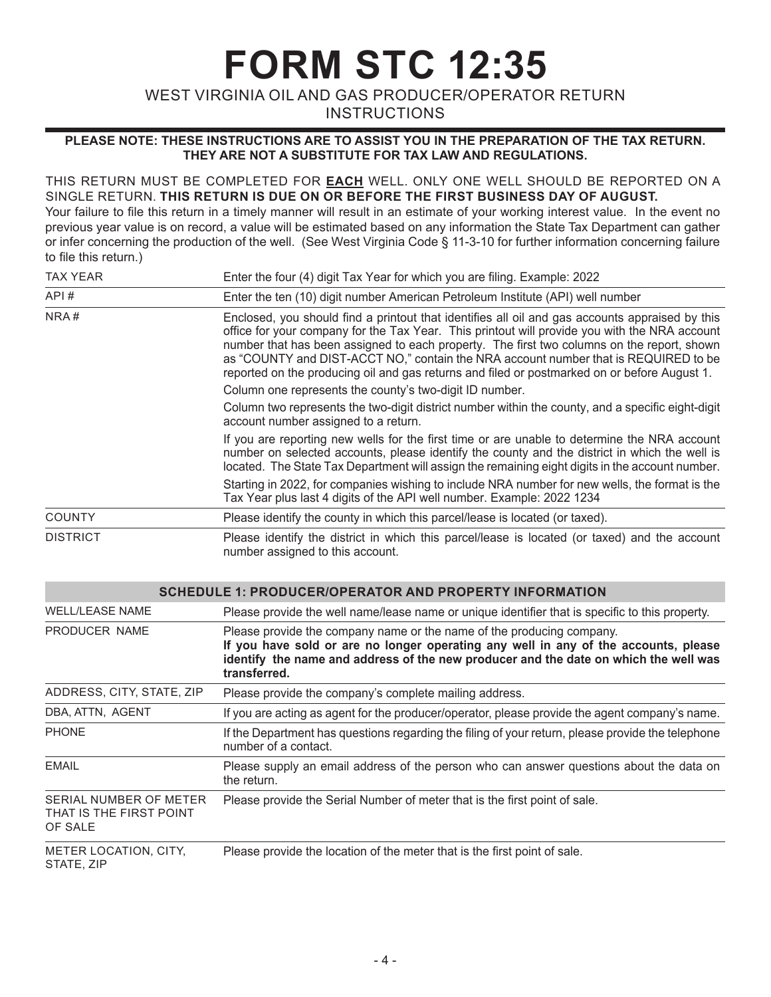**FORM STC 12:35**

WEST VIRGINIA OIL AND GAS PRODUCER/OPERATOR RETURN

**INSTRUCTIONS** 

## **PLEASE NOTE: THESE INSTRUCTIONS ARE TO ASSIST YOU IN THE PREPARATION OF THE TAX RETURN. THEY ARE NOT A SUBSTITUTE FOR TAX LAW AND REGULATIONS.**

## THIS RETURN MUST BE COMPLETED FOR **EACH** WELL. ONLY ONE WELL SHOULD BE REPORTED ON A SINGLE RETURN. **THIS RETURN IS DUE ON OR BEFORE THE FIRST BUSINESS DAY OF AUGUST.**

Your failure to file this return in a timely manner will result in an estimate of your working interest value. In the event no previous year value is on record, a value will be estimated based on any information the State Tax Department can gather or infer concerning the production of the well. (See West Virginia Code § 11-3-10 for further information concerning failure to file this return.)

| <b>TAX YEAR</b>           | Enter the four (4) digit Tax Year for which you are filing. Example: 2022                                                                                                                                                                                                                                                                                                                                                                                                             |
|---------------------------|---------------------------------------------------------------------------------------------------------------------------------------------------------------------------------------------------------------------------------------------------------------------------------------------------------------------------------------------------------------------------------------------------------------------------------------------------------------------------------------|
| API#                      | Enter the ten (10) digit number American Petroleum Institute (API) well number                                                                                                                                                                                                                                                                                                                                                                                                        |
| NRA#                      | Enclosed, you should find a printout that identifies all oil and gas accounts appraised by this<br>office for your company for the Tax Year. This printout will provide you with the NRA account<br>number that has been assigned to each property. The first two columns on the report, shown<br>as "COUNTY and DIST-ACCT NO," contain the NRA account number that is REQUIRED to be<br>reported on the producing oil and gas returns and filed or postmarked on or before August 1. |
|                           | Column one represents the county's two-digit ID number.                                                                                                                                                                                                                                                                                                                                                                                                                               |
|                           | Column two represents the two-digit district number within the county, and a specific eight-digit<br>account number assigned to a return.                                                                                                                                                                                                                                                                                                                                             |
|                           | If you are reporting new wells for the first time or are unable to determine the NRA account<br>number on selected accounts, please identify the county and the district in which the well is<br>located. The State Tax Department will assign the remaining eight digits in the account number.                                                                                                                                                                                      |
|                           | Starting in 2022, for companies wishing to include NRA number for new wells, the format is the<br>Tax Year plus last 4 digits of the API well number. Example: 2022 1234                                                                                                                                                                                                                                                                                                              |
| <b>COUNTY</b>             | Please identify the county in which this parcel/lease is located (or taxed).                                                                                                                                                                                                                                                                                                                                                                                                          |
| <b>DISTRICT</b>           | Please identify the district in which this parcel/lease is located (or taxed) and the account<br>number assigned to this account.                                                                                                                                                                                                                                                                                                                                                     |
|                           | <b>SCHEDULE 1: PRODUCER/OPERATOR AND PROPERTY INFORMATION</b>                                                                                                                                                                                                                                                                                                                                                                                                                         |
| <b>WELL/LEASE NAME</b>    | Please provide the well name/lease name or unique identifier that is specific to this property.                                                                                                                                                                                                                                                                                                                                                                                       |
| PRODUCER NAME             | Please provide the company name or the name of the producing company.<br>If you have sold or are no longer operating any well in any of the accounts, please<br>identify the name and address of the new producer and the date on which the well was<br>transferred.                                                                                                                                                                                                                  |
| ADDRESS, CITY, STATE, ZIP | Please provide the company's complete mailing address.                                                                                                                                                                                                                                                                                                                                                                                                                                |

| DBA, ATTN, AGENT | If you are acting as agent for the producer/operator, please provide the agent company's name.                            |
|------------------|---------------------------------------------------------------------------------------------------------------------------|
| <b>PHONF</b>     | If the Department has questions regarding the filing of your return, please provide the telephone<br>number of a contact. |
| EMAIL            | Please supply an email address of the person who can answer questions about the data on<br>the return.                    |

SERIAL NUMBER OF METER THAT IS THE FIRST POINT Please provide the Serial Number of meter that is the first point of sale.

OF SALE

METER LOCATION, CITY, STATE, ZIP Please provide the location of the meter that is the first point of sale.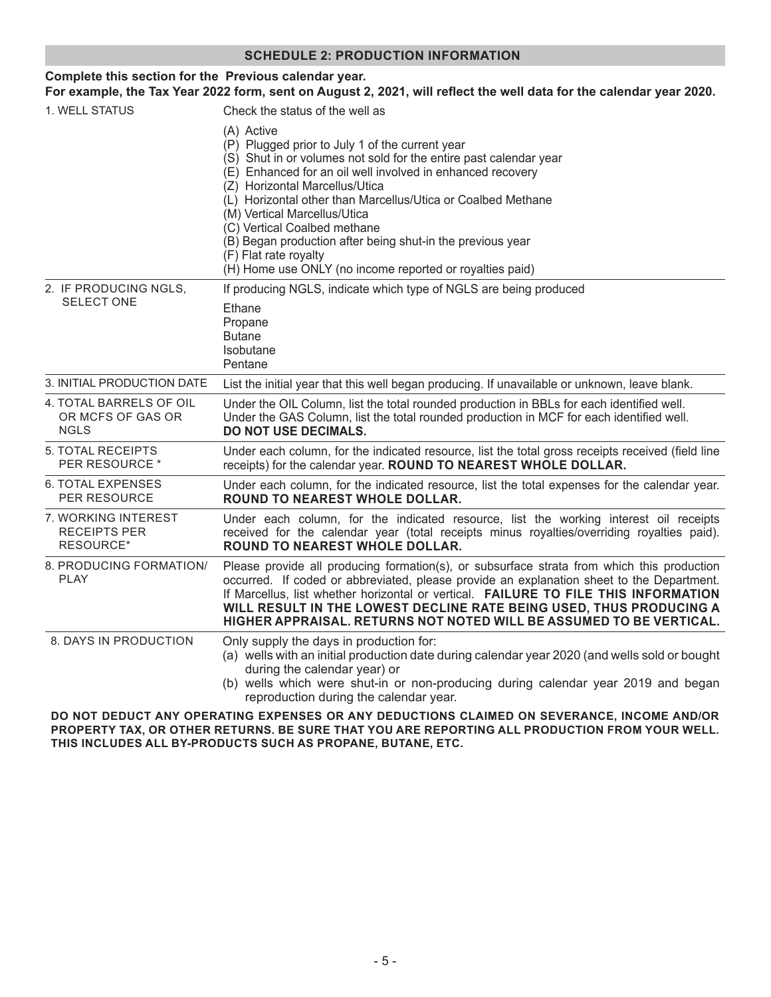| <b>SCHEDULE 2: PRODUCTION INFORMATION</b>                                                                                                                                    |                                                                                                                                                                                                                                                                                                                                                                                                                                                                                                                       |  |
|------------------------------------------------------------------------------------------------------------------------------------------------------------------------------|-----------------------------------------------------------------------------------------------------------------------------------------------------------------------------------------------------------------------------------------------------------------------------------------------------------------------------------------------------------------------------------------------------------------------------------------------------------------------------------------------------------------------|--|
| Complete this section for the Previous calendar year.<br>For example, the Tax Year 2022 form, sent on August 2, 2021, will reflect the well data for the calendar year 2020. |                                                                                                                                                                                                                                                                                                                                                                                                                                                                                                                       |  |
| 1. WELL STATUS                                                                                                                                                               | Check the status of the well as                                                                                                                                                                                                                                                                                                                                                                                                                                                                                       |  |
|                                                                                                                                                                              | (A) Active<br>(P) Plugged prior to July 1 of the current year<br>(S) Shut in or volumes not sold for the entire past calendar year<br>(E) Enhanced for an oil well involved in enhanced recovery<br>(Z) Horizontal Marcellus/Utica<br>(L) Horizontal other than Marcellus/Utica or Coalbed Methane<br>(M) Vertical Marcellus/Utica<br>(C) Vertical Coalbed methane<br>(B) Began production after being shut-in the previous year<br>(F) Flat rate royalty<br>(H) Home use ONLY (no income reported or royalties paid) |  |
| 2. IF PRODUCING NGLS,<br><b>SELECT ONE</b>                                                                                                                                   | If producing NGLS, indicate which type of NGLS are being produced                                                                                                                                                                                                                                                                                                                                                                                                                                                     |  |
|                                                                                                                                                                              | Ethane<br>Propane<br><b>Butane</b><br>Isobutane<br>Pentane                                                                                                                                                                                                                                                                                                                                                                                                                                                            |  |
| 3. INITIAL PRODUCTION DATE                                                                                                                                                   | List the initial year that this well began producing. If unavailable or unknown, leave blank.                                                                                                                                                                                                                                                                                                                                                                                                                         |  |
| 4. TOTAL BARRELS OF OIL<br>OR MCFS OF GAS OR<br><b>NGLS</b>                                                                                                                  | Under the OIL Column, list the total rounded production in BBLs for each identified well.<br>Under the GAS Column, list the total rounded production in MCF for each identified well.<br><b>DO NOT USE DECIMALS.</b>                                                                                                                                                                                                                                                                                                  |  |
| 5. TOTAL RECEIPTS<br>PER RESOURCE *                                                                                                                                          | Under each column, for the indicated resource, list the total gross receipts received (field line<br>receipts) for the calendar year. ROUND TO NEAREST WHOLE DOLLAR.                                                                                                                                                                                                                                                                                                                                                  |  |
| <b>6. TOTAL EXPENSES</b><br>PER RESOURCE                                                                                                                                     | Under each column, for the indicated resource, list the total expenses for the calendar year.<br>ROUND TO NEAREST WHOLE DOLLAR.                                                                                                                                                                                                                                                                                                                                                                                       |  |
| 7. WORKING INTEREST<br><b>RECEIPTS PER</b><br>RESOURCE*                                                                                                                      | Under each column, for the indicated resource, list the working interest oil receipts<br>received for the calendar year (total receipts minus royalties/overriding royalties paid).<br>ROUND TO NEAREST WHOLE DOLLAR.                                                                                                                                                                                                                                                                                                 |  |
| 8. PRODUCING FORMATION/<br><b>PLAY</b>                                                                                                                                       | Please provide all producing formation(s), or subsurface strata from which this production<br>occurred. If coded or abbreviated, please provide an explanation sheet to the Department.<br>If Marcellus, list whether horizontal or vertical. FAILURE TO FILE THIS INFORMATION<br>WILL RESULT IN THE LOWEST DECLINE RATE BEING USED, THUS PRODUCING A<br>HIGHER APPRAISAL. RETURNS NOT NOTED WILL BE ASSUMED TO BE VERTICAL.                                                                                          |  |
| 8. DAYS IN PRODUCTION                                                                                                                                                        | Only supply the days in production for:<br>(a) wells with an initial production date during calendar year 2020 (and wells sold or bought<br>during the calendar year) or<br>(b) wells which were shut-in or non-producing during calendar year 2019 and began<br>reproduction during the calendar year.                                                                                                                                                                                                               |  |

**DO NOT DEDUCT ANY OPERATING EXPENSES OR ANY DEDUCTIONS CLAIMED ON SEVERANCE, INCOME AND/OR PROPERTY TAX, OR OTHER RETURNS. BE SURE THAT YOU ARE REPORTING ALL PRODUCTION FROM YOUR WELL. THIS INCLUDES ALL BY-PRODUCTS SUCH AS PROPANE, BUTANE, ETC.**